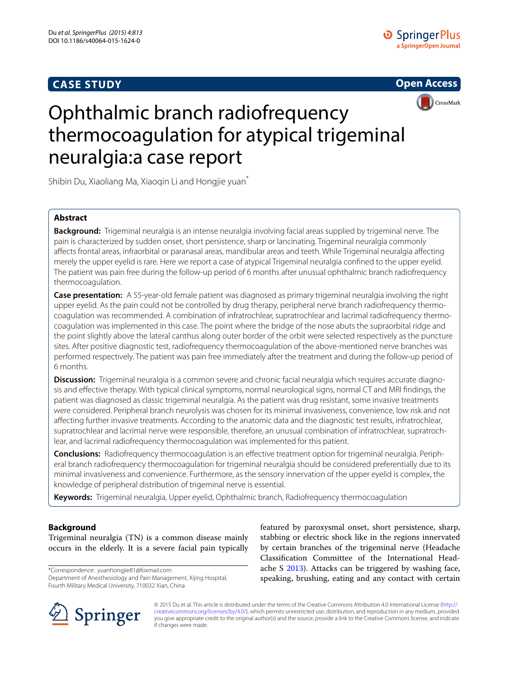# **CASE STUDY**





# Ophthalmic branch radiofrequency thermocoagulation for atypical trigeminal neuralgia:a case report

Shibin Du, Xiaoliang Ma, Xiaoqin Li and Hongjie yuan\*

## **Abstract**

**Background:** Trigeminal neuralgia is an intense neuralgia involving facial areas supplied by trigeminal nerve. The pain is characterized by sudden onset, short persistence, sharp or lancinating. Trigeminal neuralgia commonly affects frontal areas, infraorbital or paranasal areas, mandibular areas and teeth. While Trigeminal neuralgia affecting merely the upper eyelid is rare. Here we report a case of atypical Trigeminal neuralgia confined to the upper eyelid. The patient was pain free during the follow-up period of 6 months after unusual ophthalmic branch radiofrequency thermocoagulation.

**Case presentation:** A 55-year-old female patient was diagnosed as primary trigeminal neuralgia involving the right upper eyelid. As the pain could not be controlled by drug therapy, peripheral nerve branch radiofrequency thermocoagulation was recommended. A combination of infratrochlear, supratrochlear and lacrimal radiofrequency thermocoagulation was implemented in this case. The point where the bridge of the nose abuts the supraorbital ridge and the point slightly above the lateral canthus along outer border of the orbit were selected respectively as the puncture sites. After positive diagnostic test, radiofrequency thermocoagulation of the above-mentioned nerve branches was performed respectively. The patient was pain free immediately after the treatment and during the follow-up period of 6 months.

**Discussion:** Trigeminal neuralgia is a common severe and chronic facial neuralgia which requires accurate diagnosis and effective therapy. With typical clinical symptoms, normal neurological signs, normal CT and MRI findings, the patient was diagnosed as classic trigeminal neuralgia. As the patient was drug resistant, some invasive treatments were considered. Peripheral branch neurolysis was chosen for its minimal invasiveness, convenience, low risk and not affecting further invasive treatments. According to the anatomic data and the diagnostic test results, infratrochlear, supratrochlear and lacrimal nerve were responsible, therefore, an unusual combination of infratrochlear, supratrochlear, and lacrimal radiofrequency thermocoagulation was implemented for this patient.

**Conclusions:** Radiofrequency thermocoagulation is an effective treatment option for trigeminal neuralgia. Peripheral branch radiofrequency thermocoagulation for trigeminal neuralgia should be considered preferentially due to its minimal invasiveness and convenience. Furthermore, as the sensory innervation of the upper eyelid is complex, the knowledge of peripheral distribution of trigeminal nerve is essential.

**Keywords:** Trigeminal neuralgia, Upper eyelid, Ophthalmic branch, Radiofrequency thermocoagulation

### **Background**

Trigeminal neuralgia (TN) is a common disease mainly occurs in the elderly. It is a severe facial pain typically

\*Correspondence: yuanhongjie81@foxmail.com Department of Anesthesiology and Pain Management, Xijing Hospital, Fourth Military Medical University, 710032 Xian, China





© 2015 Du et al. This article is distributed under the terms of the Creative Commons Attribution 4.0 International License ([http://](http://creativecommons.org/licenses/by/4.0/) [creativecommons.org/licenses/by/4.0/](http://creativecommons.org/licenses/by/4.0/)), which permits unrestricted use, distribution, and reproduction in any medium, provided you give appropriate credit to the original author(s) and the source, provide a link to the Creative Commons license, and indicate if changes were made.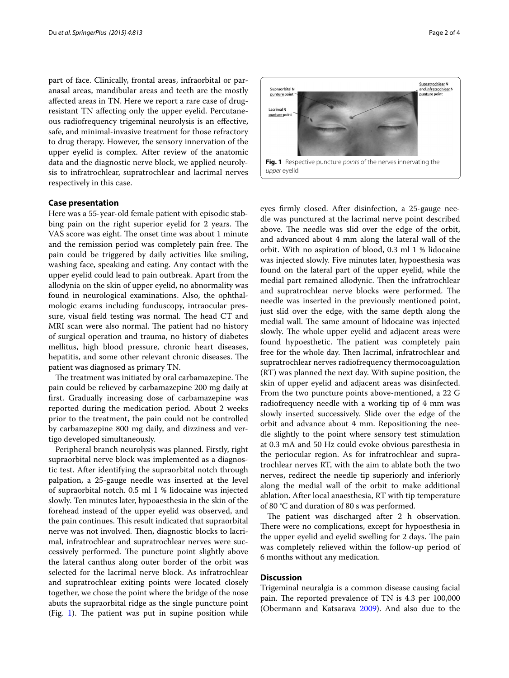part of face. Clinically, frontal areas, infraorbital or paranasal areas, mandibular areas and teeth are the mostly affected areas in TN. Here we report a rare case of drugresistant TN affecting only the upper eyelid. Percutaneous radiofrequency trigeminal neurolysis is an effective, safe, and minimal-invasive treatment for those refractory to drug therapy. However, the sensory innervation of the upper eyelid is complex. After review of the anatomic data and the diagnostic nerve block, we applied neurolysis to infratrochlear, supratrochlear and lacrimal nerves respectively in this case.

#### **Case presentation**

Here was a 55-year-old female patient with episodic stabbing pain on the right superior eyelid for 2 years. The VAS score was eight. The onset time was about 1 minute and the remission period was completely pain free. The pain could be triggered by daily activities like smiling, washing face, speaking and eating. Any contact with the upper eyelid could lead to pain outbreak. Apart from the allodynia on the skin of upper eyelid, no abnormality was found in neurological examinations. Also, the ophthalmologic exams including funduscopy, intraocular pressure, visual field testing was normal. The head CT and MRI scan were also normal. The patient had no history of surgical operation and trauma, no history of diabetes mellitus, high blood pressure, chronic heart diseases, hepatitis, and some other relevant chronic diseases. The patient was diagnosed as primary TN.

The treatment was initiated by oral carbamazepine. The pain could be relieved by carbamazepine 200 mg daily at first. Gradually increasing dose of carbamazepine was reported during the medication period. About 2 weeks prior to the treatment, the pain could not be controlled by carbamazepine 800 mg daily, and dizziness and vertigo developed simultaneously.

Peripheral branch neurolysis was planned. Firstly, right supraorbital nerve block was implemented as a diagnostic test. After identifying the supraorbital notch through palpation, a 25-gauge needle was inserted at the level of supraorbital notch. 0.5 ml 1 % lidocaine was injected slowly. Ten minutes later, hypoaesthesia in the skin of the forehead instead of the upper eyelid was observed, and the pain continues. This result indicated that supraorbital nerve was not involved. Then, diagnostic blocks to lacrimal, infratrochlear and supratrochlear nerves were successively performed. The puncture point slightly above the lateral canthus along outer border of the orbit was selected for the lacrimal nerve block. As infratrochlear and supratrochlear exiting points were located closely together, we chose the point where the bridge of the nose abuts the supraorbital ridge as the single puncture point (Fig. [1](#page-1-0)). The patient was put in supine position while



<span id="page-1-0"></span>eyes firmly closed. After disinfection, a 25-gauge needle was punctured at the lacrimal nerve point described above. The needle was slid over the edge of the orbit, and advanced about 4 mm along the lateral wall of the orbit. With no aspiration of blood, 0.3 ml 1 % lidocaine was injected slowly. Five minutes later, hypoesthesia was found on the lateral part of the upper eyelid, while the medial part remained allodynic. Then the infratrochlear and supratrochlear nerve blocks were performed. The needle was inserted in the previously mentioned point, just slid over the edge, with the same depth along the medial wall. The same amount of lidocaine was injected slowly. The whole upper eyelid and adjacent areas were found hypoesthetic. The patient was completely pain free for the whole day. Then lacrimal, infratrochlear and supratrochlear nerves radiofrequency thermocoagulation (RT) was planned the next day. With supine position, the skin of upper eyelid and adjacent areas was disinfected. From the two puncture points above-mentioned, a 22 G radiofrequency needle with a working tip of 4 mm was slowly inserted successively. Slide over the edge of the orbit and advance about 4 mm. Repositioning the needle slightly to the point where sensory test stimulation at 0.3 mA and 50 Hz could evoke obvious paresthesia in the periocular region. As for infratrochlear and supratrochlear nerves RT, with the aim to ablate both the two nerves, redirect the needle tip superiorly and inferiorly along the medial wall of the orbit to make additional ablation. After local anaesthesia, RT with tip temperature of 80 °C and duration of 80 s was performed.

The patient was discharged after 2 h observation. There were no complications, except for hypoesthesia in the upper eyelid and eyelid swelling for 2 days. The pain was completely relieved within the follow-up period of 6 months without any medication.

#### **Discussion**

Trigeminal neuralgia is a common disease causing facial pain. The reported prevalence of TN is 4.3 per 100,000 (Obermann and Katsarava [2009\)](#page-3-1). And also due to the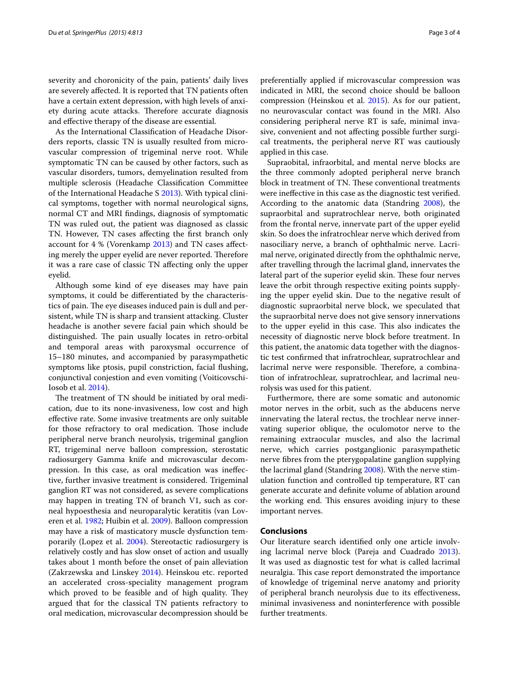severity and choronicity of the pain, patients' daily lives are severely affected. It is reported that TN patients often have a certain extent depression, with high levels of anxiety during acute attacks. Therefore accurate diagnosis and effective therapy of the disease are essential.

As the International Classification of Headache Disorders reports, classic TN is usually resulted from microvascular compression of trigeminal nerve root. While symptomatic TN can be caused by other factors, such as vascular disorders, tumors, demyelination resulted from multiple sclerosis (Headache Classification Committee of the International Headache S [2013\)](#page-3-0). With typical clinical symptoms, together with normal neurological signs, normal CT and MRI findings, diagnosis of symptomatic TN was ruled out, the patient was diagnosed as classic TN. However, TN cases affecting the first branch only account for 4 % (Vorenkamp [2013\)](#page-3-2) and TN cases affecting merely the upper eyelid are never reported. Therefore it was a rare case of classic TN affecting only the upper eyelid.

Although some kind of eye diseases may have pain symptoms, it could be differentiated by the characteristics of pain. The eye diseases induced pain is dull and persistent, while TN is sharp and transient attacking. Cluster headache is another severe facial pain which should be distinguished. The pain usually locates in retro-orbital and temporal areas with paroxysmal occurrence of 15–180 minutes, and accompanied by parasympathetic symptoms like ptosis, pupil constriction, facial flushing, conjunctival conjestion and even vomiting (Voiticovschi-Iosob et al. [2014\)](#page-3-3).

The treatment of TN should be initiated by oral medication, due to its none-invasiveness, low cost and high effective rate. Some invasive treatments are only suitable for those refractory to oral medication. Those include peripheral nerve branch neurolysis, trigeminal ganglion RT, trigeminal nerve balloon compression, sterostatic radiosurgery Gamma knife and microvascular decompression. In this case, as oral medication was ineffective, further invasive treatment is considered. Trigeminal ganglion RT was not considered, as severe complications may happen in treating TN of branch V1, such as corneal hypoesthesia and neuroparalytic keratitis (van Loveren et al. [1982](#page-3-4); Huibin et al. [2009\)](#page-3-5). Balloon compression may have a risk of masticatory muscle dysfunction temporarily (Lopez et al. [2004\)](#page-3-6). Stereotactic radiosurgery is relatively costly and has slow onset of action and usually takes about 1 month before the onset of pain alleviation (Zakrzewska and Linskey [2014](#page-3-7)). Heinskou etc. reported an accelerated cross-speciality management program which proved to be feasible and of high quality. They argued that for the classical TN patients refractory to oral medication, microvascular decompression should be

preferentially applied if microvascular compression was indicated in MRI, the second choice should be balloon compression (Heinskou et al. [2015](#page-3-8)). As for our patient, no neurovascular contact was found in the MRI. Also considering peripheral nerve RT is safe, minimal invasive, convenient and not affecting possible further surgical treatments, the peripheral nerve RT was cautiously applied in this case.

Supraobital, infraorbital, and mental nerve blocks are the three commonly adopted peripheral nerve branch block in treatment of TN. These conventional treatments were ineffective in this case as the diagnostic test verified. According to the anatomic data (Standring [2008](#page-3-9)), the supraorbital and supratrochlear nerve, both originated from the frontal nerve, innervate part of the upper eyelid skin. So does the infratrochlear nerve which derived from nasociliary nerve, a branch of ophthalmic nerve. Lacrimal nerve, originated directly from the ophthalmic nerve, after travelling through the lacrimal gland, innervates the lateral part of the superior eyelid skin. These four nerves leave the orbit through respective exiting points supplying the upper eyelid skin. Due to the negative result of diagnostic supraorbital nerve block, we speculated that the supraorbital nerve does not give sensory innervations to the upper eyelid in this case. This also indicates the necessity of diagnostic nerve block before treatment. In this patient, the anatomic data together with the diagnostic test confirmed that infratrochlear, supratrochlear and lacrimal nerve were responsible. Therefore, a combination of infratrochlear, supratrochlear, and lacrimal neurolysis was used for this patient.

Furthermore, there are some somatic and autonomic motor nerves in the orbit, such as the abducens nerve innervating the lateral rectus, the trochlear nerve innervating superior oblique, the oculomotor nerve to the remaining extraocular muscles, and also the lacrimal nerve, which carries postganglionic parasympathetic nerve fibres from the pterygopalatine ganglion supplying the lacrimal gland (Standring [2008\)](#page-3-9). With the nerve stimulation function and controlled tip temperature, RT can generate accurate and definite volume of ablation around the working end. This ensures avoiding injury to these important nerves.

#### **Conclusions**

Our literature search identified only one article involving lacrimal nerve block (Pareja and Cuadrado [2013](#page-3-10)). It was used as diagnostic test for what is called lacrimal neuralgia. This case report demonstrated the importance of knowledge of trigeminal nerve anatomy and priority of peripheral branch neurolysis due to its effectiveness, minimal invasiveness and noninterference with possible further treatments.